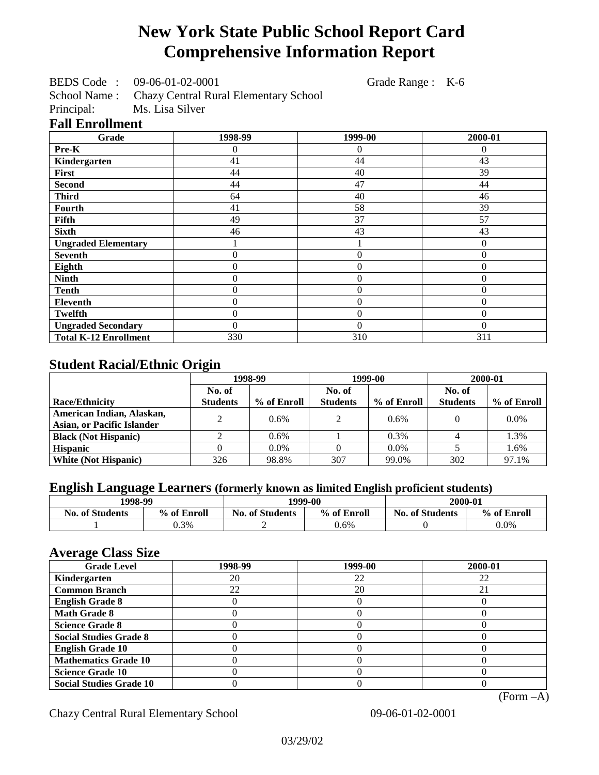# **New York State Public School Report Card Comprehensive Information Report**

BEDS Code : 09-06-01-02-0001 Grade Range : K-6

School Name : Chazy Central Rural Elementary School<br>Principal: Ms. Lisa Silver Ms. Lisa Silver

#### **Fall Enrollment**

| Grade                        | 1998-99          | 1999-00        | 2000-01          |
|------------------------------|------------------|----------------|------------------|
| Pre-K                        | 0                | 0              | 0                |
| Kindergarten                 | 41               | 44             | 43               |
| First                        | 44               | 40             | 39               |
| <b>Second</b>                | 44               | 47             | 44               |
| <b>Third</b>                 | 64               | 40             | 46               |
| <b>Fourth</b>                | 41               | 58             | 39               |
| Fifth                        | 49               | 37             | 57               |
| <b>Sixth</b>                 | 46               | 43             | 43               |
| <b>Ungraded Elementary</b>   |                  |                | $\boldsymbol{0}$ |
| <b>Seventh</b>               | 0                | $\theta$       | $\mathbf{0}$     |
| Eighth                       | $\overline{0}$   | $\overline{0}$ | $\Omega$         |
| <b>Ninth</b>                 | $\overline{0}$   | $\theta$       | $\mathbf{0}$     |
| <b>Tenth</b>                 | $\boldsymbol{0}$ | $\overline{0}$ | $\mathbf{0}$     |
| Eleventh                     | $\overline{0}$   | $\overline{0}$ | $\mathbf{0}$     |
| <b>Twelfth</b>               | 0                | $\overline{0}$ | $\theta$         |
| <b>Ungraded Secondary</b>    | 0                | $\Omega$       | $\Omega$         |
| <b>Total K-12 Enrollment</b> | 330              | 310            | 311              |

## **Student Racial/Ethnic Origin**

|                                   | 1998-99         |             | 1999-00         |             | 2000-01         |             |
|-----------------------------------|-----------------|-------------|-----------------|-------------|-----------------|-------------|
|                                   | No. of          |             | No. of          |             | No. of          |             |
| <b>Race/Ethnicity</b>             | <b>Students</b> | % of Enroll | <b>Students</b> | % of Enroll | <b>Students</b> | % of Enroll |
| American Indian, Alaskan,         | ↑               | 0.6%        | $\mathcal{L}$   | 0.6%        |                 | $0.0\%$     |
| <b>Asian, or Pacific Islander</b> |                 |             |                 |             |                 |             |
| <b>Black (Not Hispanic)</b>       |                 | 0.6%        |                 | 0.3%        |                 | 1.3%        |
| <b>Hispanic</b>                   |                 | $0.0\%$     |                 | 0.0%        |                 | 1.6%        |
| <b>White (Not Hispanic)</b>       | 326             | 98.8%       | 307             | 99.0%       | 302             | 97.1%       |

# **English Language Learners (formerly known as limited English proficient students)**

| 1998-99                |             | 1999-00                |             | 2000-01                |             |
|------------------------|-------------|------------------------|-------------|------------------------|-------------|
| <b>No. of Students</b> | % of Enroll | <b>No. of Students</b> | % of Enroll | <b>No. of Students</b> | % of Enroll |
|                        | 0.3%        |                        | 0.6%        |                        | $0.0\%$     |

#### **Average Class Size**

| $\overline{\phantom{a}}$<br><b>Grade Level</b> | 1998-99 | 1999-00 | 2000-01 |
|------------------------------------------------|---------|---------|---------|
| Kindergarten                                   | 20      | 22      | 22      |
| <b>Common Branch</b>                           | 22      | 20      | 21      |
| <b>English Grade 8</b>                         |         |         |         |
| <b>Math Grade 8</b>                            |         |         |         |
| <b>Science Grade 8</b>                         |         |         |         |
| <b>Social Studies Grade 8</b>                  |         |         |         |
| <b>English Grade 10</b>                        |         |         |         |
| <b>Mathematics Grade 10</b>                    |         |         |         |
| <b>Science Grade 10</b>                        |         |         |         |
| <b>Social Studies Grade 10</b>                 |         |         |         |

(Form –A)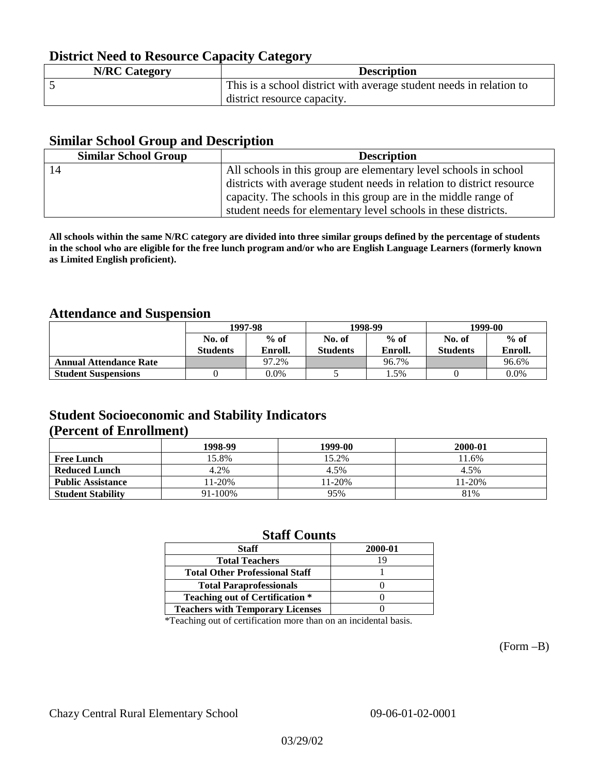# **District Need to Resource Capacity Category**

| <b>N/RC Category</b> | <b>Description</b>                                                  |
|----------------------|---------------------------------------------------------------------|
|                      | This is a school district with average student needs in relation to |
|                      | district resource capacity.                                         |

## **Similar School Group and Description**

| <b>Similar School Group</b> | <b>Description</b>                                                    |
|-----------------------------|-----------------------------------------------------------------------|
| 14                          | All schools in this group are elementary level schools in school      |
|                             | districts with average student needs in relation to district resource |
|                             | capacity. The schools in this group are in the middle range of        |
|                             | student needs for elementary level schools in these districts.        |

**All schools within the same N/RC category are divided into three similar groups defined by the percentage of students in the school who are eligible for the free lunch program and/or who are English Language Learners (formerly known as Limited English proficient).**

## **Attendance and Suspension**

|                               | 1997-98         |         | 1998-99         |         | 1999-00         |         |
|-------------------------------|-----------------|---------|-----------------|---------|-----------------|---------|
|                               | No. of          | $%$ of  | No. of          | $%$ of  | No. of          | $%$ of  |
|                               | <b>Students</b> | Enroll. | <b>Students</b> | Enroll. | <b>Students</b> | Enroll. |
| <b>Annual Attendance Rate</b> |                 | 97.2%   |                 | 96.7%   |                 | 96.6%   |
| <b>Student Suspensions</b>    |                 | $0.0\%$ |                 | 1.5%    |                 | 0.0%    |

## **Student Socioeconomic and Stability Indicators (Percent of Enrollment)**

|                          | 1998-99 | 1999-00   | 2000-01 |
|--------------------------|---------|-----------|---------|
| <b>Free Lunch</b>        | 15.8%   | 15.2%     | 11.6%   |
| <b>Reduced Lunch</b>     | 4.2%    | 4.5%      | 4.5%    |
| <b>Public Assistance</b> | 11-20%  | $1 - 20%$ | 11-20%  |
| <b>Student Stability</b> | 91-100% | 95%       | 81%     |

## **Staff Counts**

| <b>Staff</b>                            | 2000-01 |
|-----------------------------------------|---------|
| <b>Total Teachers</b>                   | 19      |
| <b>Total Other Professional Staff</b>   |         |
| <b>Total Paraprofessionals</b>          |         |
| <b>Teaching out of Certification *</b>  |         |
| <b>Teachers with Temporary Licenses</b> |         |

\*Teaching out of certification more than on an incidental basis.

(Form –B)